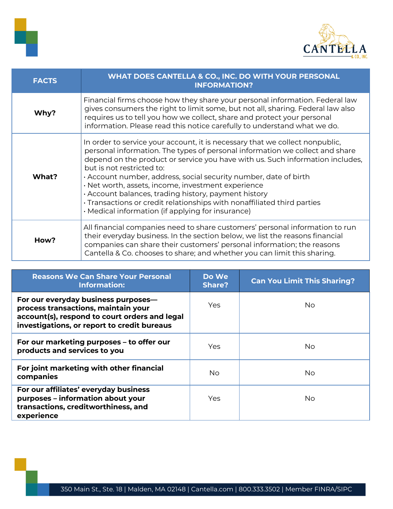



| <b>FACTS</b> | WHAT DOES CANTELLA & CO., INC. DO WITH YOUR PERSONAL<br><b>INFORMATION?</b>                                                                                                                                                                                                                                                                                                                                                                                                                                                                                                                  |
|--------------|----------------------------------------------------------------------------------------------------------------------------------------------------------------------------------------------------------------------------------------------------------------------------------------------------------------------------------------------------------------------------------------------------------------------------------------------------------------------------------------------------------------------------------------------------------------------------------------------|
| Why?         | Financial firms choose how they share your personal information. Federal law<br>gives consumers the right to limit some, but not all, sharing. Federal law also<br>requires us to tell you how we collect, share and protect your personal<br>information. Please read this notice carefully to understand what we do.                                                                                                                                                                                                                                                                       |
| What?        | In order to service your account, it is necessary that we collect nonpublic,<br>personal information. The types of personal information we collect and share<br>depend on the product or service you have with us. Such information includes,<br>but is not restricted to:<br>. Account number, address, social security number, date of birth<br>· Net worth, assets, income, investment experience<br>· Account balances, trading history, payment history<br>· Transactions or credit relationships with nonaffiliated third parties<br>· Medical information (if applying for insurance) |
| How?         | All financial companies need to share customers' personal information to run<br>their everyday business. In the section below, we list the reasons financial<br>companies can share their customers' personal information; the reasons<br>Cantella & Co. chooses to share; and whether you can limit this sharing.                                                                                                                                                                                                                                                                           |

| <b>Reasons We Can Share Your Personal</b><br><b>Information:</b>                                                                                                           | Do We<br><b>Share?</b> | <b>Can You Limit This Sharing?</b> |
|----------------------------------------------------------------------------------------------------------------------------------------------------------------------------|------------------------|------------------------------------|
| For our everyday business purposes-<br>process transactions, maintain your<br>account(s), respond to court orders and legal<br>investigations, or report to credit bureaus | Yes                    | No.                                |
| For our marketing purposes - to offer our<br>products and services to you                                                                                                  | Yes                    | No.                                |
| For joint marketing with other financial<br>companies                                                                                                                      | No.                    | No.                                |
| For our affiliates' everyday business<br>purposes - information about your<br>transactions, creditworthiness, and<br>experience                                            | <b>Yes</b>             | No.                                |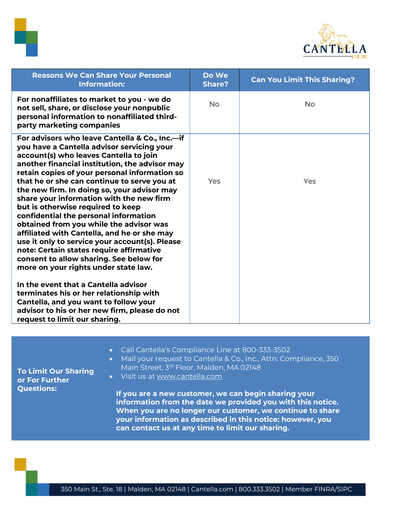



| <b>Reasons We Can Share Your Personal</b><br><b>Information:</b>                                                                                                                                                                                                                                                                                                                                                                                                                                                                                                                                                                                                                                                                                                                                                                                                                                                          | Do We<br><b>Share?</b> | <b>Can You Limit This Sharing?</b> |
|---------------------------------------------------------------------------------------------------------------------------------------------------------------------------------------------------------------------------------------------------------------------------------------------------------------------------------------------------------------------------------------------------------------------------------------------------------------------------------------------------------------------------------------------------------------------------------------------------------------------------------------------------------------------------------------------------------------------------------------------------------------------------------------------------------------------------------------------------------------------------------------------------------------------------|------------------------|------------------------------------|
| For nonaffiliates to market to you - we do<br>not sell, share, or disclose your nonpublic<br>personal information to nonaffiliated third-<br>party marketing companies                                                                                                                                                                                                                                                                                                                                                                                                                                                                                                                                                                                                                                                                                                                                                    | <b>No</b>              | <b>No</b>                          |
| For advisors who leave Cantella & Co., Inc.-if<br>you have a Cantella advisor servicing your<br>account(s) who leaves Cantella to join<br>another financial institution, the advisor may<br>retain copies of your personal information so<br>that he or she can continue to serve you at<br>the new firm. In doing so, your advisor may<br>share your information with the new firm<br>but is otherwise required to keep<br>confidential the personal information<br>obtained from you while the advisor was<br>affiliated with Cantella, and he or she may<br>use it only to service your account(s). Please<br>note: Certain states require affirmative<br>consent to allow sharing. See below for<br>more on your rights under state law.<br>In the event that a Cantella advisor<br>terminates his or her relationship with<br>Cantella, and you want to follow your<br>advisor to his or her new firm, please do not | Yes                    | Yes                                |

- Call Cantella's Compliance Line at 800-333-3502
- Mail your request to Cantella & Co., Inc., Attn: Compliance, 350 Main Street, 3<sup>rd</sup> Floor, Malden, MA 02148

**To Limit Our Sharing or For Further Questions:** 

• Visit us at [www.cantella.com](http://www.cantella.com/)

**If you are a new customer, we can begin sharing your information from the date we provided you with this notice. When you are no longer our customer, we continue to share your information as described in this notice; however, you can contact us at any time to limit our sharing.**